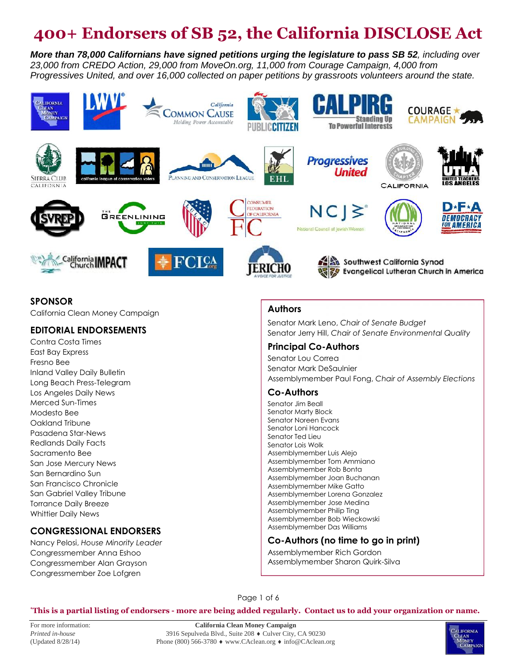# **400+ Endorsers of SB 52, the California DISCLOSE Act**

*More than 78,000 Californians have signed petitions urging the legislature to pass SB 52, including over 23,000 from CREDO Action, 29,000 from MoveOn.org, 11,000 from Courage Campaign, 4,000 from Progressives United, and over 16,000 collected on paper petitions by grassroots volunteers around the state.*



#### **SPONSOR**

California Clean Money Campaign

#### **EDITORIAL ENDORSEMENTS**

Contra Costa Times East Bay Express Fresno Bee Inland Valley Daily Bulletin Long Beach Press-Telegram Los Angeles Daily News Merced Sun-Times Modesto Bee Oakland Tribune Pasadena Star-News Redlands Daily Facts Sacramento Bee San Jose Mercury News San Bernardino Sun San Francisco Chronicle San Gabriel Valley Tribune Torrance Daily Breeze Whittier Daily News

#### **CONGRESSIONAL ENDORSERS**

Nancy Pelosi, *House Minority Leader* Congressmember Anna Eshoo Congressmember Alan Grayson Congressmember Zoe Lofgren

#### **Authors**

Senator Mark Leno, *Chair of Senate Budget* Senator Jerry Hill, *Chair of Senate Environmental Quality*

#### **Principal Co-Authors**

Senator Lou Correa Senator Mark DeSaulnier Assemblymember Paul Fong, *Chair of Assembly Elections*

#### **Co-Authors**

Senator Jim Beall Senator Marty Block Senator Noreen Evans Senator Loni Hancock Senator Ted Lieu Senator Lois Wolk Assemblymember Luis Alejo Assemblymember Tom Ammiano Assemblymember Rob Bonta Assemblymember Joan Buchanan Assemblymember Mike Gatto Assemblymember Lorena Gonzalez Assemblymember Jose Medina Assemblymember Philip Ting Assemblymember Bob Wieckowski Assemblymember Das Williams

#### **Co-Authors (no time to go in print)**

Assemblymember Rich Gordon Assemblymember Sharon Quirk-Silva

Page 1 of 6

#### **\*This is a partial listing of endorsers - more are being added regularly. Contact us to add your organization or name.**

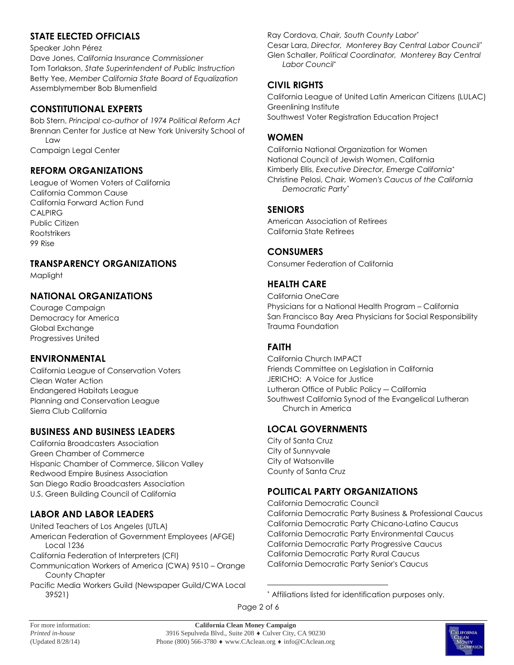# **STATE ELECTED OFFICIALS**

#### Speaker John Pérez

Dave Jones, *California Insurance Commissioner* Tom Torlakson, *State Superintendent of Public Instruction* Betty Yee, *Member California State Board of Equalization* Assemblymember Bob Blumenfield

#### **CONSTITUTIONAL EXPERTS**

Bob Stern, *Principal* c*o-author of 1974 Political Reform Act* Brennan Center for Justice at New York University School of Law Campaign Legal Center

#### **REFORM ORGANIZATIONS**

League of Women Voters of California California Common Cause California Forward Action Fund CALPIRG Public Citizen Rootstrikers 99 Rise

#### **TRANSPARENCY ORGANIZATIONS**

Maplight

# **NATIONAL ORGANIZATIONS**

Courage Campaign Democracy for America Global Exchange Progressives United

# **ENVIRONMENTAL**

California League of Conservation Voters Clean Water Action Endangered Habitats League Planning and Conservation League Sierra Club California

# **BUSINESS AND BUSINESS LEADERS**

California Broadcasters Association Green Chamber of Commerce Hispanic Chamber of Commerce, Silicon Valley Redwood Empire Business Association San Diego Radio Broadcasters Association U.S. Green Building Council of California

# **LABOR AND LABOR LEADERS**

United Teachers of Los Angeles (UTLA) American Federation of Government Employees (AFGE) Local 1236 California Federation of Interpreters (CFI) Communication Workers of America (CWA) 9510 – Orange County Chapter Pacific Media Workers Guild (Newspaper Guild/CWA Local 39521)

Ray Cordova, *Chair, South County Labor\**

Cesar Lara, *Director, Monterey Bay Central Labor Council\** Glen Schaller, *Political Coordinator, Monterey Bay Central Labor Council\**

#### **CIVIL RIGHTS**

California League of United Latin American Citizens (LULAC) Greenlining Institute Southwest Voter Registration Education Project

#### **WOMEN**

California National Organization for Women National Council of Jewish Women, California Kimberly Ellis, *Executive Director, Emerge California\** Christine Pelosi, *Chair, Women's Caucus of the California Democratic Party\**

#### **SENIORS**

American Association of Retirees California State Retirees

#### **CONSUMERS**

Consumer Federation of California

# **HEALTH CARE**

California OneCare Physicians for a National Health Program – California San Francisco Bay Area Physicians for Social Responsibility Trauma Foundation

#### **FAITH**

California Church IMPACT Friends Committee on Legislation in California JERICHO: A Voice for Justice Lutheran Office of Public Policy ― California Southwest California Synod of the Evangelical Lutheran Church in America

#### **LOCAL GOVERNMENTS**

City of Santa Cruz City of Sunnyvale City of Watsonville County of Santa Cruz

# **POLITICAL PARTY ORGANIZATIONS**

California Democratic Council California Democratic Party Business & Professional Caucus California Democratic Party Chicano-Latino Caucus California Democratic Party Environmental Caucus California Democratic Party Progressive Caucus California Democratic Party Rural Caucus California Democratic Party Senior's Caucus

Page 2 of 6



<sup>\*</sup> Affiliations listed for identification purposes only.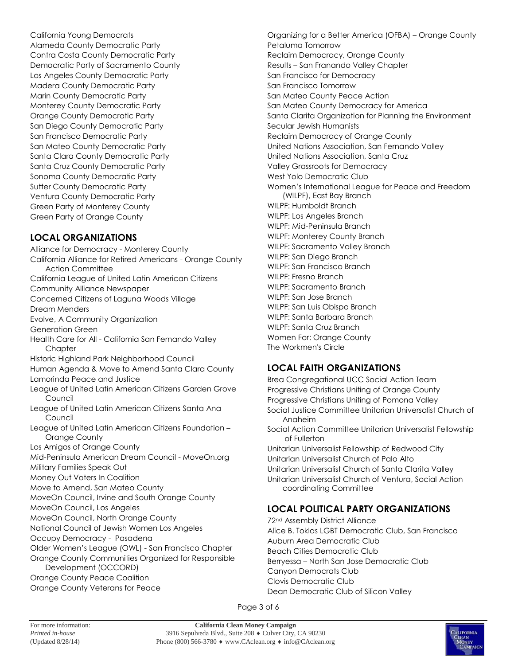California Young Democrats Alameda County Democratic Party Contra Costa County Democratic Party Democratic Party of Sacramento County Los Angeles County Democratic Party Madera County Democratic Party Marin County Democratic Party Monterey County Democratic Party Orange County Democratic Party San Diego County Democratic Party San Francisco Democratic Party San Mateo County Democratic Party Santa Clara County Democratic Party Santa Cruz County Democratic Party Sonoma County Democratic Party Sutter County Democratic Party Ventura County Democratic Party Green Party of Monterey County Green Party of Orange County

# **LOCAL ORGANIZATIONS**

Alliance for Democracy - Monterey County California Alliance for Retired Americans - Orange County Action Committee California League of United Latin American Citizens Community Alliance Newspaper Concerned Citizens of Laguna Woods Village Dream Menders Evolve, A Community Organization Generation Green Health Care for All - California San Fernando Valley Chapter Historic Highland Park Neighborhood Council Human Agenda & Move to Amend Santa Clara County Lamorinda Peace and Justice League of United Latin American Citizens Garden Grove Council League of United Latin American Citizens Santa Ana Council League of United Latin American Citizens Foundation –<br>Orange County Los Amigos of Orange County Mid-Peninsula American Dream Council - MoveOn.org Military Families Speak Out Money Out Voters In Coalition Move to Amend, San Mateo County MoveOn Council, Irvine and South Orange County MoveOn Council, Los Angeles MoveOn Council, North Orange County National Council of Jewish Women Los Angeles Occupy Democracy - Pasadena Older Women's League (OWL) - San Francisco Chapter Orange County Communities Organized for Responsible Development (OCCORD) Orange County Peace Coalition Orange County Veterans for Peace

Organizing for a Better America (OFBA) – Orange County Petaluma Tomorrow Reclaim Democracy, Orange County Results – San Franando Valley Chapter San Francisco for Democracy San Francisco Tomorrow San Mateo County Peace Action San Mateo County Democracy for America Santa Clarita Organization for Planning the Environment Secular Jewish Humanists Reclaim Democracy of Orange County United Nations Association, San Fernando Valley United Nations Association, Santa Cruz Valley Grassroots for Democracy West Yolo Democratic Club Women's International League for Peace and Freedom (WILPF), East Bay Branch WILPF: Humboldt Branch WILPF: Los Angeles Branch WILPF: Mid-Peninsula Branch WILPF: Monterey County Branch WILPF: Sacramento Valley Branch WILPF: San Diego Branch WILPF: San Francisco Branch WILPF: Fresno Branch WILPF: Sacramento Branch WILPF: San Jose Branch WILPF: San Luis Obispo Branch WILPF: Santa Barbara Branch WILPF: Santa Cruz Branch Women For: Orange County The Workmen's Circle

# **LOCAL FAITH ORGANIZATIONS**

Brea Congregational UCC Social Action Team Progressive Christians Uniting of Orange County Progressive Christians Uniting of Pomona Valley Social Justice Committee Unitarian Universalist Church of Anaheim Social Action Committee Unitarian Universalist Fellowship of Fullerton Unitarian Universalist Fellowship of Redwood City Unitarian Universalist Church of Palo Alto Unitarian Universalist Church of Santa Clarita Valley Unitarian Universalist Church of Ventura, Social Action coordinating Committee

# **LOCAL POLITICAL PARTY ORGANIZATIONS**

72nd Assembly District Alliance Alice B. Toklas LGBT Democratic Club, San Francisco Auburn Area Democratic Club Beach Cities Democratic Club Berryessa – North San Jose Democratic Club Canyon Democrats Club Clovis Democratic Club Dean Democratic Club of Silicon Valley

Page 3 of 6

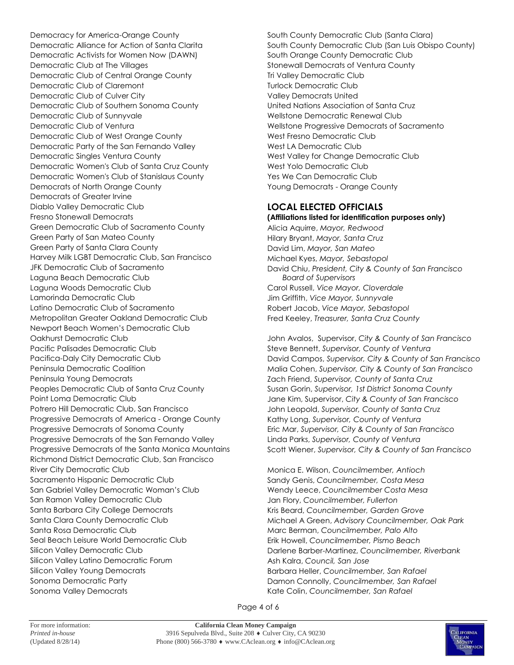Democracy for America-Orange County Democratic Alliance for Action of Santa Clarita Democratic Activists for Women Now (DAWN) Democratic Club at The Villages Democratic Club of Central Orange County Democratic Club of Claremont Democratic Club of Culver City Democratic Club of Southern Sonoma County Democratic Club of Sunnyvale Democratic Club of Ventura Democratic Club of West Orange County Democratic Party of the San Fernando Valley Democratic Singles Ventura County Democratic Women's Club of Santa Cruz County Democratic Women's Club of Stanislaus County Democrats of North Orange County Democrats of Greater Irvine Diablo Valley Democratic Club Fresno Stonewall Democrats Green Democratic Club of Sacramento County Green Party of San Mateo County Green Party of Santa Clara County Harvey Milk LGBT Democratic Club, San Francisco JFK Democratic Club of Sacramento Laguna Beach Democratic Club Laguna Woods Democratic Club Lamorinda Democratic Club Latino Democratic Club of Sacramento Metropolitan Greater Oakland Democratic Club Newport Beach Women's Democratic Club Oakhurst Democratic Club Pacific Palisades Democratic Club Pacifica-Daly City Democratic Club Peninsula Democratic Coalition Peninsula Young Democrats Peoples Democratic Club of Santa Cruz County Point Loma Democratic Club Potrero Hill Democratic Club, San Francisco Progressive Democrats of America - Orange County Progressive Democrats of Sonoma County Progressive Democrats of the San Fernando Valley Progressive Democrats of the Santa Monica Mountains Richmond District Democratic Club, San Francisco River City Democratic Club Sacramento Hispanic Democratic Club San Gabriel Valley Democratic Woman's Club San Ramon Valley Democratic Club Santa Barbara City College Democrats Santa Clara County Democratic Club Santa Rosa Democratic Club Seal Beach Leisure World Democratic Club Silicon Valley Democratic Club Silicon Valley Latino Democratic Forum Silicon Valley Young Democrats Sonoma Democratic Party Sonoma Valley Democrats

South County Democratic Club (Santa Clara) South County Democratic Club (San Luis Obispo County) South Orange County Democratic Club Stonewall Democrats of Ventura County Tri Valley Democratic Club Turlock Democratic Club Valley Democrats United United Nations Association of Santa Cruz Wellstone Democratic Renewal Club Wellstone Progressive Democrats of Sacramento West Fresno Democratic Club West LA Democratic Club West Valley for Change Democratic Club West Yolo Democratic Club Yes We Can Democratic Club Young Democrats - Orange County

# **LOCAL ELECTED OFFICIALS**

**(Affiliations listed for identification purposes only)**

Alicia Aquirre, *Mayor, Redwood* Hilary Bryant, *Mayor, Santa Cruz* David Lim, *Mayor, San Mateo* Michael Kyes, *Mayor, Sebastopol* David Chiu, *President, City & County of San Francisco Board of Supervisors* Carol Russell, *Vice Mayor, Cloverdale* Jim Griffith, *Vice Mayor, Sunnyvale* Robert Jacob, *Vice Mayor, Sebastopol* Fred Keeley, *Treasurer, Santa Cruz County*

John Avalos, Supervisor, *City & County of San Francisco* Steve Bennett, *Supervisor, County of Ventura* David Campos, *Supervisor, City & County of San Francisco* Malia Cohen, *Supervisor, City & County of San Francisco* Zach Friend, *Supervisor, County of Santa Cruz* Susan Gorin, *Supervisor, 1st District Sonoma County* Jane Kim, Supervisor, *City & County of San Francisco* John Leopold, *Supervisor, County of Santa Cruz* Kathy Long, *Supervisor, County of Ventura* Eric Mar, *Supervisor, City & County of San Francisco* Linda Parks, *Supervisor, County of Ventura* Scott Wiener, *Supervisor, City & County of San Francisco*

Monica E. Wilson, *Councilmember, Antioch* Sandy Genis, *Councilmember, Costa Mesa* Wendy Leece, *Councilmember Costa Mesa* Jan Flory, *Councilmember, Fullerton* Kris Beard, *Councilmember, Garden Grove* Michael A Green, *Advisory Councilmember, Oak Park* Marc Berman, *Councilmember, Palo Alto* Erik Howell, *Councilmember, Pismo Beach* Darlene Barber-Martinez, *Councilmember, Riverbank* Ash Kalra, *Council, San Jose* Barbara Heller, *Councilmember, San Rafael* Damon Connolly, *Councilmember, San Rafael* Kate Colin, *Councilmember, San Rafael*

Page 4 of 6

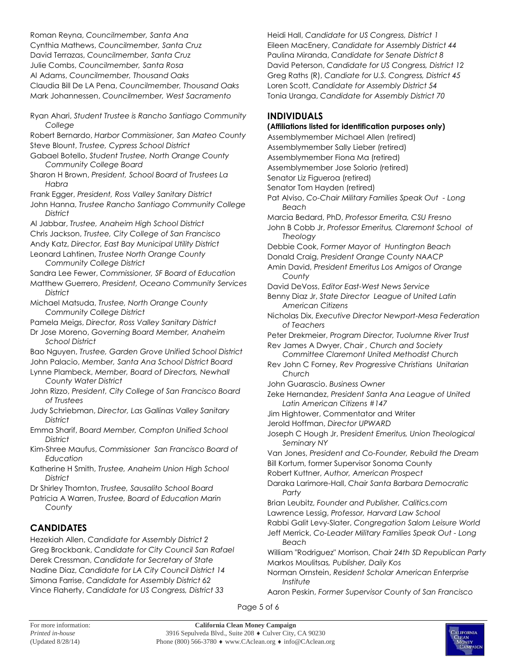Roman Reyna, *Councilmember, Santa Ana* Cynthia Mathews, *Councilmember, Santa Cruz* David Terrazas, *Councilmember, Santa Cruz* Julie Combs, *Councilmember, Santa Rosa* Al Adams, *Councilmember, Thousand Oaks* Claudia Bill De LA Pena, *Councilmember, Thousand Oaks* Mark Johannessen, *Councilmember, West Sacramento*

- Ryan Ahari, *Student Trustee is Rancho Santiago Community College*
- Robert Bernardo, *Harbor Commissioner, San Mateo County* Steve Blount, *Trustee, Cypress School District*
- Gabael Botello, *Student Trustee, North Orange County Community College Board*
- Sharon H Brown, *President, School Board of Trustees La Habra*
- Frank Egger, *President, Ross Valley Sanitary District*
- John Hanna, *Trustee Rancho Santiago Community College District*
- Al Jabbar, *Trustee, Anaheim High School District* Chris Jackson, *Trustee, City College of San Francisco*
- Andy Katz, *Director, East Bay Municipal Utility District*
- Leonard Lahtinen, *Trustee North Orange County Community College District*
- Sandra Lee Fewer, *Commissioner, SF Board of Education*
- Matthew Guerrero, *President, Oceano Community Services District*
- Michael Matsuda, *Trustee, North Orange County Community College District*
- Pamela Meigs, *Director, Ross Valley Sanitary District*
- Dr Jose Moreno, *Governing Board Member, Anaheim School District*
- Bao Nguyen, *Trustee, Garden Grove Unified School District* John Palacio, *Member, Santa Ana School District Board*
- Lynne Plambeck, *Member, Board of Directors, Newhall County Water District*
- John Rizzo, *President, City College of San Francisco Board of Trustees*
- Judy Schriebman, *Director, Las Gallinas Valley Sanitary District*
- Emma Sharif, *Board Member, Compton Unified School District*
- Kim-Shree Maufus, *Commissioner San Francisco Board of Education*
- Katherine H Smith, *Trustee, Anaheim Union High School District*
- Dr Shirley Thornton, *Trustee, Sausalito School Board*
- Patricia A Warren, *Trustee, Board of Education Marin County*

# **CANDIDATES**

Hezekiah Allen, *Candidate for Assembly District 2* Greg Brockbank, *Candidate for City Council San Rafael* Derek Cressman, *Candidate for Secretary of State* Nadine Diaz, *Candidate for LA City Council District 14* Simona Farrise, *Candidate for Assembly District 62* Vince Flaherty, *Candidate for US Congress, District 33*

Heidi Hall, *Candidate for US Congress, District 1* Eileen MacEnery, *Candidate for Assembly District 44* Paulina Miranda, *Candidate for Senate District 8* David Peterson, *Candidate for US Congress, District 12* Greg Raths (R), *Candiate for U.S. Congress, District 45* Loren Scott, *Candidate for Assembly District 54* Tonia Uranga, *Candidate for Assembly District 70*

#### **INDIVIDUALS**

#### **(Affiliations listed for identification purposes only)**

- Assemblymember Michael Allen (retired)
- Assemblymember Sally Lieber (retired)
- Assemblymember Fiona Ma (retired)
- Assemblymember Jose Solorio (retired)
- Senator Liz Figueroa (retired)
- Senator Tom Hayden (retired)
- Pat Alviso, *Co-Chair Military Families Speak Out - Long Beach*
- Marcia Bedard, PhD, *Professor Emerita, CSU Fresno*
- John B Cobb Jr, *Professor Emeritus, Claremont School of Theology*
- Debbie Cook, *Former Mayor of Huntington Beach*
- Donald Craig, *President Orange County NAACP*
- Amin David, *President Emeritus Los Amigos of Orange County*
- David DeVoss, *Editor East-West News Service*
- Benny Diaz Jr, *State Director League of United Latin American Citizens*
- Nicholas Dix, *Executive Director Newport-Mesa Federation of Teachers*
- Peter Drekmeier, *Program Director, Tuolumne River Trust* Rev James A Dwyer, *Chair , Church and Society*
- *Committee Claremont United Methodist Church*
- Rev John C Forney, *Rev Progressive Christians Unitarian Church*
- John Guarascio. *Business Owner*
- Zeke Hernandez, *President Santa Ana League of United Latin American Citizens #147*
- Jim Hightower, Commentator and Writer
- Jerold Hoffman, *Director UPWARD*
- Joseph C Hough Jr, P*resident Emeritus, Union Theological Seminary NY*
- Van Jones, *President and Co-Founder, Rebuild the Dream* Bill Kortum, former Supervisor Sonoma County
- Robert Kuttner, *Author, American Prospect*
- Daraka Larimore-Hall, *Chair Santa Barbara Democratic Party*
- Brian Leubitz, *Founder and Publisher, Calitics.com*
- Lawrence Lessig, *Professor, Harvard Law School*
- Rabbi Galit Levy-Slater, *Congregation Salom Leisure World*
- Jeff Merrick, *Co-Leader Military Families Speak Out - Long Beach*
- William "Rodriguez" Morrison, *Chair 24th SD Republican Party* Markos Moulitsas*, Publisher, Daily Kos*
- Norman Ornstein, *Resident Scholar American Enterprise Institute*
- Aaron Peskin, *Former Supervisor County of San Francisco*
- Page 5 of 6